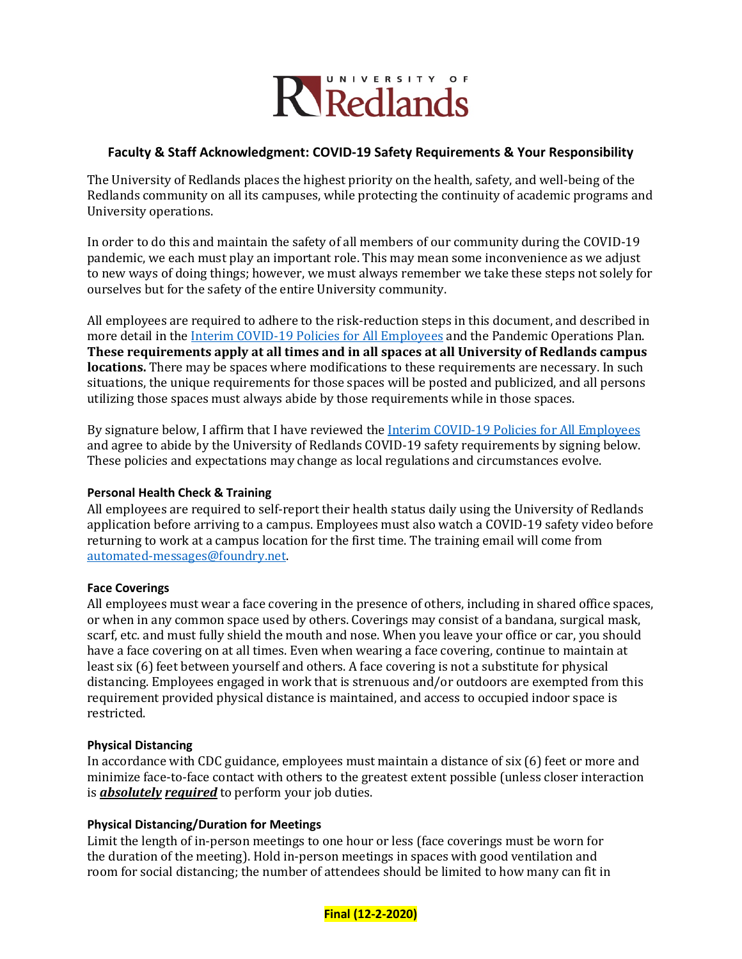

# **Faculty & Staff Acknowledgment: COVID-19 Safety Requirements & Your Responsibility**

The University of Redlands places the highest priority on the health, safety, and well-being of the Redlands community on all its campuses, while protecting the continuity of academic programs and University operations.

In order to do this and maintain the safety of all members of our community during the COVID-19 pandemic, we each must play an important role. This may mean some inconvenience as we adjust to new ways of doing things; however, we must always remember we take these steps not solely for ourselves but for the safety of the entire University community.

All employees are required to adhere to the risk-reduction steps in this document, and described in more detail in th[e Interim COVID-19 Policies for All Employees](http://www.redlands.edu/employee-covid-policies-pdf) and the Pandemic Operations Plan. **These requirements apply at all times and in all spaces at all University of Redlands campus locations.** There may be spaces where modifications to these requirements are necessary. In such situations, the unique requirements for those spaces will be posted and publicized, and all persons utilizing those spaces must always abide by those requirements while in those spaces.

By signature below, I affirm that I have reviewed the [Interim COVID-19 Policies for All Employees](http://www.redlands.edu/employee-covid-policies-pdf) and agree to abide by the University of Redlands COVID-19 safety requirements by signing below. These policies and expectations may change as local regulations and circumstances evolve.

# **Personal Health Check & Training**

All employees are required to self-report their health status daily using the University of Redlands application before arriving to a campus. Employees must also watch a COVID-19 safety video before returning to work at a campus location for the first time. The training email will come from [automated-messages@foundry.net.](mailto:automated-messages@foundry.net)

### **Face Coverings**

All employees must wear a face covering in the presence of others, including in shared office spaces, or when in any common space used by others. Coverings may consist of a bandana, surgical mask, scarf, etc. and must fully shield the mouth and nose. When you leave your office or car, you should have a face covering on at all times. Even when wearing a face covering, continue to maintain at least six (6) feet between yourself and others. A face covering is not a substitute for physical distancing. Employees engaged in work that is strenuous and/or outdoors are exempted from this requirement provided physical distance is maintained, and access to occupied indoor space is restricted.

### **Physical Distancing**

In accordance with CDC guidance, employees must maintain a distance of six (6) feet or more and minimize face-to-face contact with others to the greatest extent possible (unless closer interaction is *absolutely required* to perform your job duties.

# **Physical Distancing/Duration for Meetings**

Limit the length of in-person meetings to one hour or less (face coverings must be worn for the duration of the meeting). Hold in-person meetings in spaces with good ventilation and room for social distancing; the number of attendees should be limited to how many can fit in

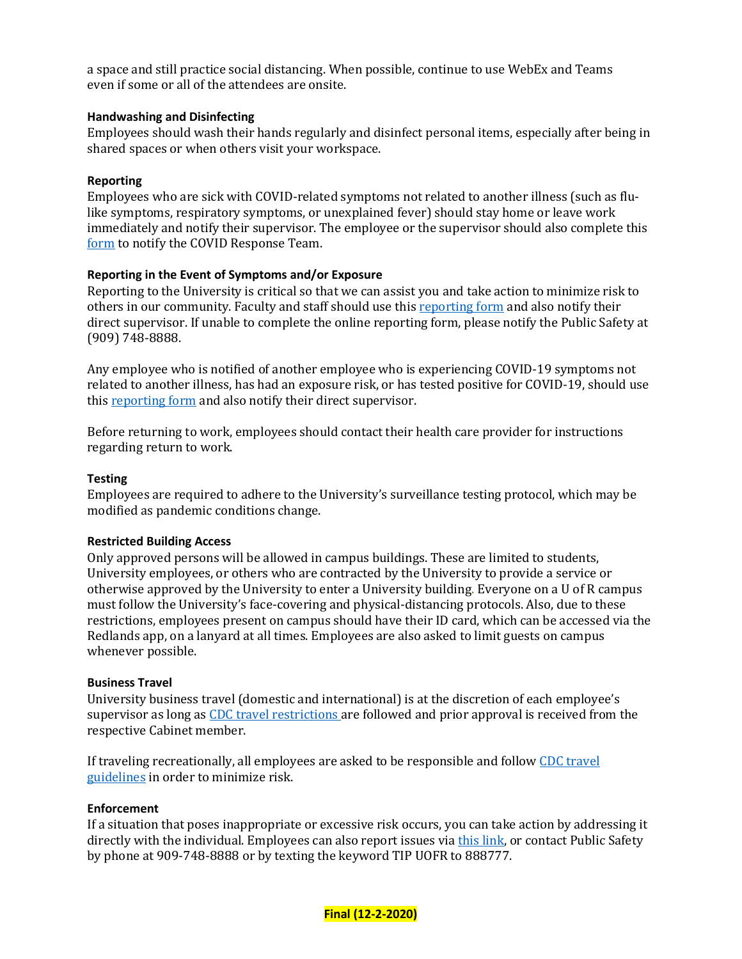a space and still practice social distancing. When possible, continue to use WebEx and Teams even if some or all of the attendees are onsite.

## **Handwashing and Disinfecting**

Employees should wash their hands regularly and disinfect personal items, especially after being in shared spaces or when others visit your workspace.

### **Reporting**

Employees who are sick with COVID-related symptoms not related to another illness (such as flulike symptoms, respiratory symptoms, or unexplained fever) should stay home or leave work immediately and notify their supervisor. The employee or the supervisor should also complete this [form](https://cm.maxient.com/reportingform.php?UnivofRedlands&layout_id=30) to notify the COVID Response Team.

## **Reporting in the Event of Symptoms and/or Exposure**

Reporting to the University is critical so that we can assist you and take action to minimize risk to others in our community. Faculty and staff should use this [reporting form](https://cm.maxient.com/reportingform.php?UnivofRedlands&layout_id=30) and also notify their direct supervisor. If unable to complete th[e online reporting form,](https://cm.maxient.com/reportingform.php?UnivofRedlands&layout_id=30) please notify the Public Safety at (909) 748-8888.

Any employee who is notified of another employee who is experiencing COVID-19 symptoms not related to another illness, has had an exposure risk, or has tested positive for COVID-19, should use this [reporting form](https://cm.maxient.com/reportingform.php?UnivofRedlands&layout_id=30) and also notify their direct supervisor.

Before returning to work, employees should contact their health care provider for instructions regarding return to work.

### **Testing**

Employees are required to adhere to the University's surveillance testing protocol, which may be modified as pandemic conditions change.

### **Restricted Building Access**

Only approved persons will be allowed in campus buildings. These are limited to students, University employees, or others who are contracted by the University to provide a service or otherwise approved by the University to enter a University building. Everyone on a U of R campus must follow the University's face-covering and physical-distancing protocols. Also, due to these restrictions, employees present on campus should have their ID card, which can be accessed via the Redlands app, on a lanyard at all times. Employees are also asked to limit guests on campus whenever possible.

### **Business Travel**

University business travel (domestic and international) is at the discretion of each employee's supervisor as long as [CDC travel restrictions](https://www.cdc.gov/coronavirus/2019-ncov/travelers/travel-during-covid19.html) are followed and prior approval is received from the respective Cabinet member.

If traveling recreationally, all employees are asked to be responsible and follo[w CDC travel](https://www.cdc.gov/coronavirus/2019-ncov/travelers/travel-during-covid19.html)  [guidelines](https://www.cdc.gov/coronavirus/2019-ncov/travelers/travel-during-covid19.html) in order to minimize risk.

### **Enforcement**

If a situation that poses inappropriate or excessive risk occurs, you can take action by addressing it directly with the individual. Employees can also report issues via [this link,](https://cm.maxient.com/reportingform.php?UnivofRedlands) or contact Public Safety by phone at 909-748-8888 or by texting the keyword TIP UOFR to 888777.